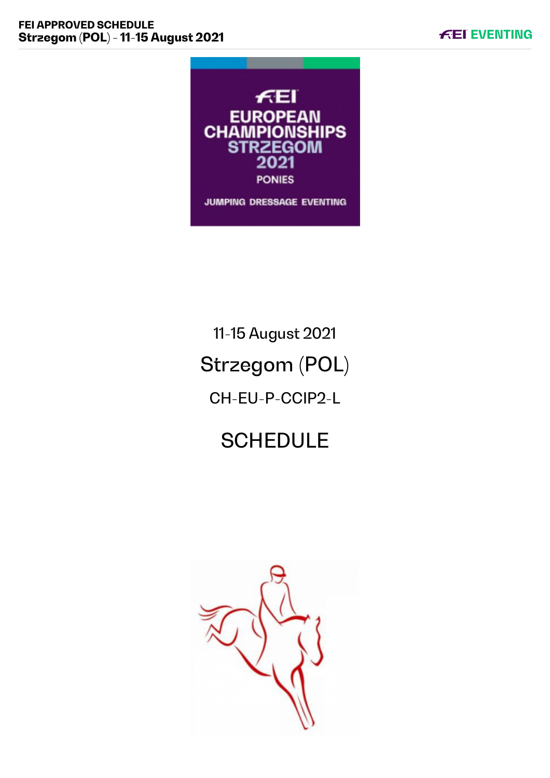

# 11-15 August 2021 Strzegom (POL) CH-EU-P-CCIP2-L

# **SCHEDULE**

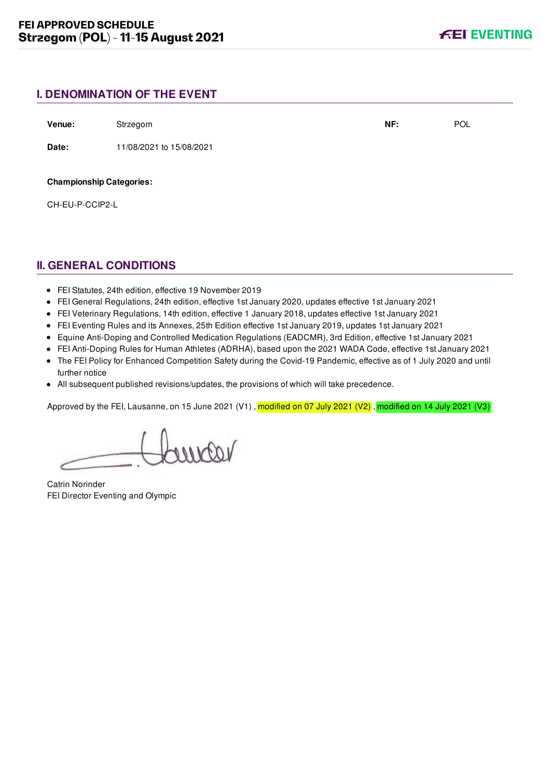## **I. DENOMINATION OF THE EVENT**

**Venue:** Strzegom **NF:** POL

**Date:** 11/08/2021 to 15/08/2021

**Championship Categories:**

CH-EU-P-CCIP2-L

## **II. GENERAL CONDITIONS**

- FEI Statutes, 24th edition, effective 19 November 2019
- FEI General Regulations, 24th edition, effective 1st January 2020, updates effective 1st January 2021
- FEI Veterinary Regulations, 14th edition, effective 1 January 2018, updates effective 1st January 2021
- FEI Eventing Rules and its Annexes, 25th Edition effective 1st January 2019, updates 1st January 2021
- Equine Anti-Doping and Controlled Medication Regulations (EADCMR), 3rd Edition, effective 1st January 2021
- FEI Anti-Doping Rules for Human Athletes (ADRHA), based upon the 2021 WADA Code, effective 1st January 2021
- The FEI Policy for Enhanced Competition Safety during the Covid-19 Pandemic, effective as of 1 July 2020 and until further notice
- All subsequent published revisions/updates, the provisions of which will take precedence.

Approved by the FEI, Lausanne, on 15 June 2021 (V1), modified on 07 July 2021 (V2), modified on 14 July 2021 (V3)

Lourear

Catrin Norinder FEI Director Eventing and Olympic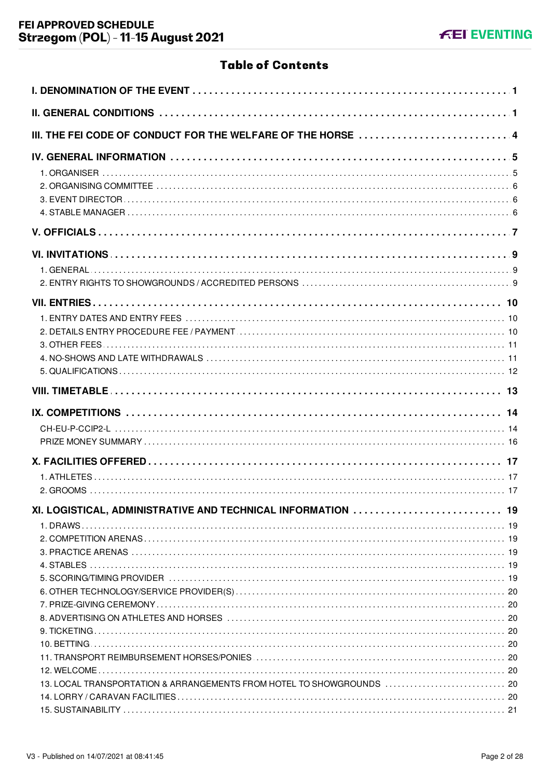## **Table of Contents**

| III. THE FEI CODE OF CONDUCT FOR THE WELFARE OF THE HORSE  4                                                                          |  |
|---------------------------------------------------------------------------------------------------------------------------------------|--|
|                                                                                                                                       |  |
|                                                                                                                                       |  |
|                                                                                                                                       |  |
|                                                                                                                                       |  |
|                                                                                                                                       |  |
|                                                                                                                                       |  |
|                                                                                                                                       |  |
|                                                                                                                                       |  |
| XI. LOGISTICAL, ADMINISTRATIVE AND TECHNICAL INFORMATION  19<br>13. LOCAL TRANSPORTATION & ARRANGEMENTS FROM HOTEL TO SHOWGROUNDS  20 |  |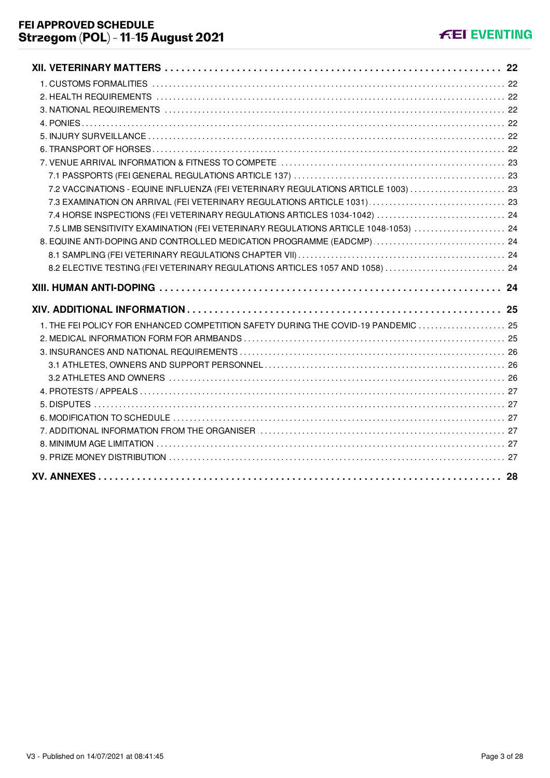| 7.2 VACCINATIONS - EQUINE INFLUENZA (FEI VETERINARY REGULATIONS ARTICLE 1003)  23   |  |
|-------------------------------------------------------------------------------------|--|
|                                                                                     |  |
| 7.4 HORSE INSPECTIONS (FEI VETERINARY REGULATIONS ARTICLES 1034-1042)  24           |  |
| 7.5 LIMB SENSITIVITY EXAMINATION (FEI VETERINARY REGULATIONS ARTICLE 1048-1053)  24 |  |
| 8. EQUINE ANTI-DOPING AND CONTROLLED MEDICATION PROGRAMME (EADCMP)  24              |  |
|                                                                                     |  |
| 8.2 ELECTIVE TESTING (FEI VETERINARY REGULATIONS ARTICLES 1057 AND 1058)  24        |  |
|                                                                                     |  |
|                                                                                     |  |
|                                                                                     |  |
| 1. THE FEI POLICY FOR ENHANCED COMPETITION SAFETY DURING THE COVID-19 PANDEMIC  25  |  |
|                                                                                     |  |
|                                                                                     |  |
|                                                                                     |  |
|                                                                                     |  |
|                                                                                     |  |
|                                                                                     |  |
|                                                                                     |  |
|                                                                                     |  |
|                                                                                     |  |
|                                                                                     |  |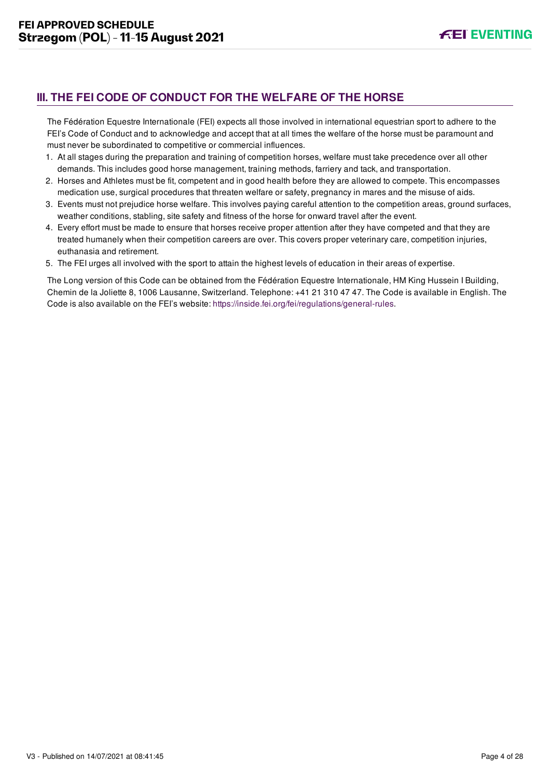## <span id="page-4-0"></span>**III. THE FEI CODE OF CONDUCT FOR THE WELFARE OF THE HORSE**

The Fédération Equestre Internationale (FEI) expects all those involved in international equestrian sport to adhere to the FEI's Code of Conduct and to acknowledge and accept that at all times the welfare of the horse must be paramount and must never be subordinated to competitive or commercial influences.

- 1. At all stages during the preparation and training of competition horses, welfare must take precedence over all other demands. This includes good horse management, training methods, farriery and tack, and transportation.
- 2. Horses and Athletes must be fit, competent and in good health before they are allowed to compete. This encompasses medication use, surgical procedures that threaten welfare or safety, pregnancy in mares and the misuse of aids.
- 3. Events must not prejudice horse welfare. This involves paying careful attention to the competition areas, ground surfaces, weather conditions, stabling, site safety and fitness of the horse for onward travel after the event.
- 4. Every effort must be made to ensure that horses receive proper attention after they have competed and that they are treated humanely when their competition careers are over. This covers proper veterinary care, competition injuries, euthanasia and retirement.
- 5. The FEI urges all involved with the sport to attain the highest levels of education in their areas of expertise.

The Long version of this Code can be obtained from the Fédération Equestre Internationale, HM King Hussein I Building, Chemin de la Joliette 8, 1006 Lausanne, Switzerland. Telephone: +41 21 310 47 47. The Code is available in English. The Code is also available on the FEI's website:<https://inside.fei.org/fei/regulations/general-rules>.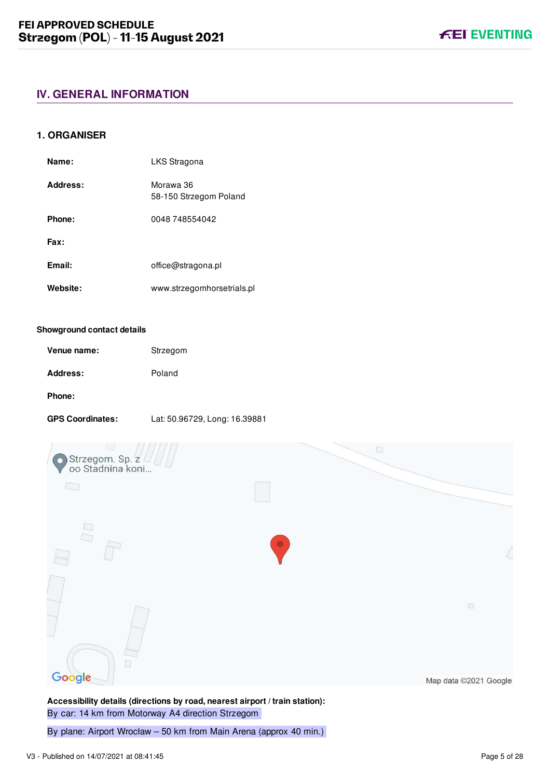## <span id="page-5-0"></span>**IV. GENERAL INFORMATION**

## <span id="page-5-1"></span>**1. ORGANISER**

| Name:    | LKS Stragona                        |
|----------|-------------------------------------|
| Address: | Morawa 36<br>58-150 Strzegom Poland |
| Phone:   | 0048 748554042                      |
| Fax:     |                                     |
| Email:   | office@stragona.pl                  |
| Website: | www.strzegomhorsetrials.pl          |

#### **Showground contact details**

| Venue name:     | Strzegom |
|-----------------|----------|
| <b>Address:</b> | Poland   |

#### **Phone:**

**GPS Coordinates:** Lat: 50.96729, Long: 16.39881



**Accessibility details (directions by road, nearest airport / train station):** By car: 14 km from Motorway A4 direction Strzegom

By plane: Airport Wrocław – 50 km from Main Arena (approx 40 min.)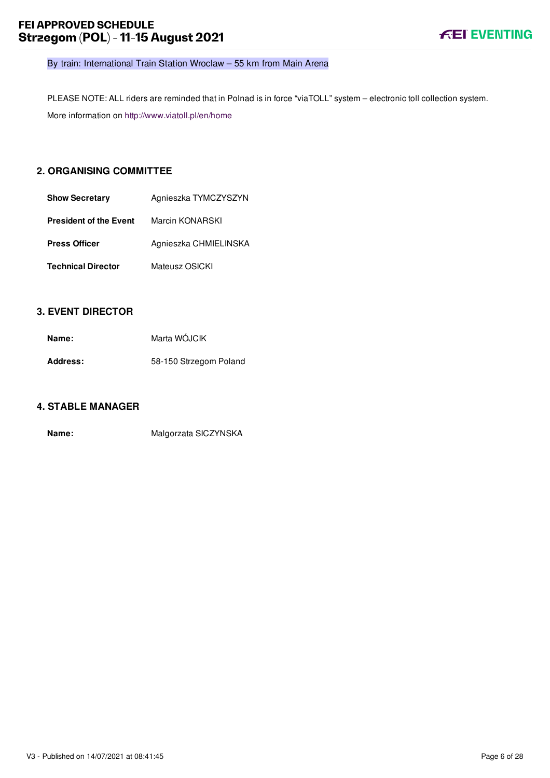By train: International Train Station Wroclaw – 55 km from Main Arena

PLEASE NOTE: ALL riders are reminded that in Polnad is in force "viaTOLL" system – electronic toll collection system. More information on<http://www.viatoll.pl/en/home>

## <span id="page-6-0"></span>**2. ORGANISING COMMITTEE**

| <b>Show Secretary</b>     | Agnieszka TYMCZYSZYN  |
|---------------------------|-----------------------|
| President of the Event    | Marcin KONARSKI       |
| Press Officer             | Agnieszka CHMIELINSKA |
| <b>Technical Director</b> | Mateusz OSICKI        |

## <span id="page-6-1"></span>**3. EVENT DIRECTOR**

| Name:    | Marta WÓJCIK           |
|----------|------------------------|
| Address: | 58-150 Strzegom Poland |

## <span id="page-6-2"></span>**4. STABLE MANAGER**

**Name:** Malgorzata SICZYNSKA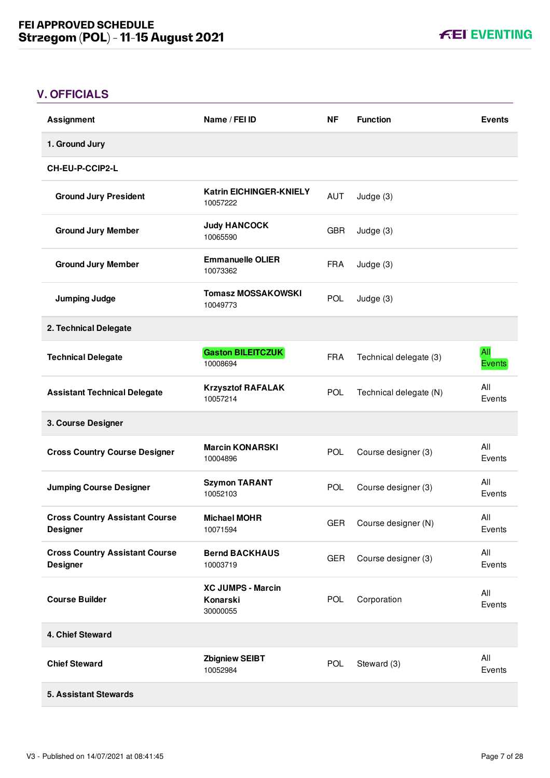**FEI EVENTING** 

## <span id="page-7-0"></span>**V. OFFICIALS**

| <b>Assignment</b>                                        | Name / FEI ID                                    | <b>NF</b>  | <b>Function</b>        | <b>Events</b>        |
|----------------------------------------------------------|--------------------------------------------------|------------|------------------------|----------------------|
| 1. Ground Jury                                           |                                                  |            |                        |                      |
| <b>CH-EU-P-CCIP2-L</b>                                   |                                                  |            |                        |                      |
| <b>Ground Jury President</b>                             | <b>Katrin EICHINGER-KNIELY</b><br>10057222       | AUT        | Judge (3)              |                      |
| <b>Ground Jury Member</b>                                | <b>Judy HANCOCK</b><br>10065590                  | <b>GBR</b> | Judge (3)              |                      |
| <b>Ground Jury Member</b>                                | <b>Emmanuelle OLIER</b><br>10073362              | <b>FRA</b> | Judge (3)              |                      |
| <b>Jumping Judge</b>                                     | <b>Tomasz MOSSAKOWSKI</b><br>10049773            | <b>POL</b> | Judge (3)              |                      |
| 2. Technical Delegate                                    |                                                  |            |                        |                      |
| <b>Technical Delegate</b>                                | <b>Gaston BILEITCZUK</b><br>10008694             | <b>FRA</b> | Technical delegate (3) | All<br><b>Events</b> |
| <b>Assistant Technical Delegate</b>                      | <b>Krzysztof RAFALAK</b><br>10057214             | <b>POL</b> | Technical delegate (N) | All<br>Events        |
| 3. Course Designer                                       |                                                  |            |                        |                      |
| <b>Cross Country Course Designer</b>                     | <b>Marcin KONARSKI</b><br>10004896               | POL        | Course designer (3)    | All<br>Events        |
| <b>Jumping Course Designer</b>                           | <b>Szymon TARANT</b><br>10052103                 | POL        | Course designer (3)    | All<br>Events        |
| <b>Cross Country Assistant Course</b><br><b>Designer</b> | <b>Michael MOHR</b><br>10071594                  | <b>GER</b> | Course designer (N)    | All<br>Events        |
| <b>Cross Country Assistant Course</b><br><b>Designer</b> | <b>Bernd BACKHAUS</b><br>10003719                | <b>GER</b> | Course designer (3)    | All<br>Events        |
| <b>Course Builder</b>                                    | <b>XC JUMPS - Marcin</b><br>Konarski<br>30000055 | <b>POL</b> | Corporation            | All<br>Events        |
| 4. Chief Steward                                         |                                                  |            |                        |                      |
| <b>Chief Steward</b>                                     | <b>Zbigniew SEIBT</b><br>10052984                | <b>POL</b> | Steward (3)            | All<br>Events        |
| <b>5. Assistant Stewards</b>                             |                                                  |            |                        |                      |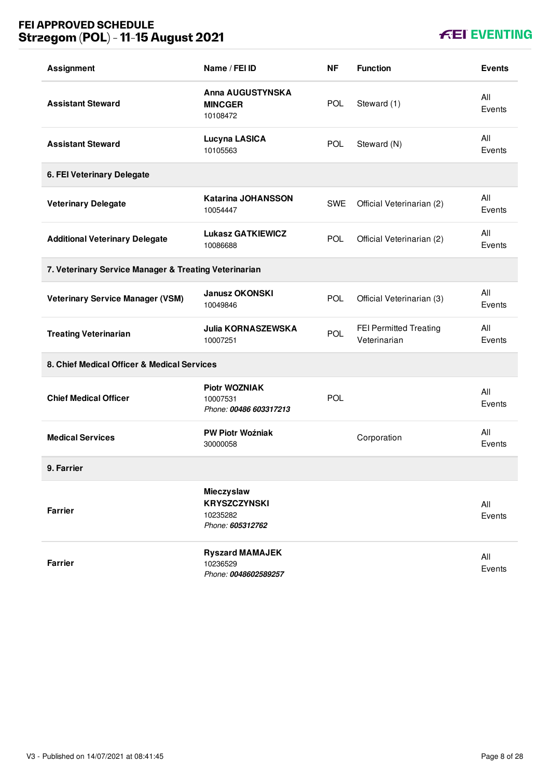## **FEI APPROVED SCHEDULE Strzegom (POL) - 11-15 August 2021**

## **KEI EVENTING**

| <b>Assignment</b>                                     | Name / FEI ID                                                     | <b>NF</b>  | <b>Function</b>                               | <b>Events</b> |
|-------------------------------------------------------|-------------------------------------------------------------------|------------|-----------------------------------------------|---------------|
| <b>Assistant Steward</b>                              | Anna AUGUSTYNSKA<br><b>MINCGER</b><br>10108472                    | <b>POL</b> | Steward (1)                                   | All<br>Events |
| <b>Assistant Steward</b>                              | Lucyna LASICA<br>10105563                                         | <b>POL</b> | Steward (N)                                   | All<br>Events |
| 6. FEI Veterinary Delegate                            |                                                                   |            |                                               |               |
| <b>Veterinary Delegate</b>                            | <b>Katarina JOHANSSON</b><br>10054447                             | SWE        | Official Veterinarian (2)                     | All<br>Events |
| <b>Additional Veterinary Delegate</b>                 | <b>Lukasz GATKIEWICZ</b><br>10086688                              | <b>POL</b> | Official Veterinarian (2)                     | All<br>Events |
| 7. Veterinary Service Manager & Treating Veterinarian |                                                                   |            |                                               |               |
| <b>Veterinary Service Manager (VSM)</b>               | <b>Janusz OKONSKI</b><br>10049846                                 | <b>POL</b> | Official Veterinarian (3)                     | All<br>Events |
| <b>Treating Veterinarian</b>                          | <b>Julia KORNASZEWSKA</b><br>10007251                             | POL        | <b>FEI Permitted Treating</b><br>Veterinarian | All<br>Events |
| 8. Chief Medical Officer & Medical Services           |                                                                   |            |                                               |               |
| <b>Chief Medical Officer</b>                          | <b>Piotr WOZNIAK</b><br>10007531<br>Phone: 00486 603317213        | POL        |                                               | All<br>Events |
| <b>Medical Services</b>                               | <b>PW Piotr Woźniak</b><br>30000058                               |            | Corporation                                   | All<br>Events |
| 9. Farrier                                            |                                                                   |            |                                               |               |
| <b>Farrier</b>                                        | Mieczyslaw<br><b>KRYSZCZYNSKI</b><br>10235282<br>Phone: 605312762 |            |                                               | All<br>Events |
| <b>Farrier</b>                                        | <b>Ryszard MAMAJEK</b><br>10236529<br>Phone: 0048602589257        |            |                                               | All<br>Events |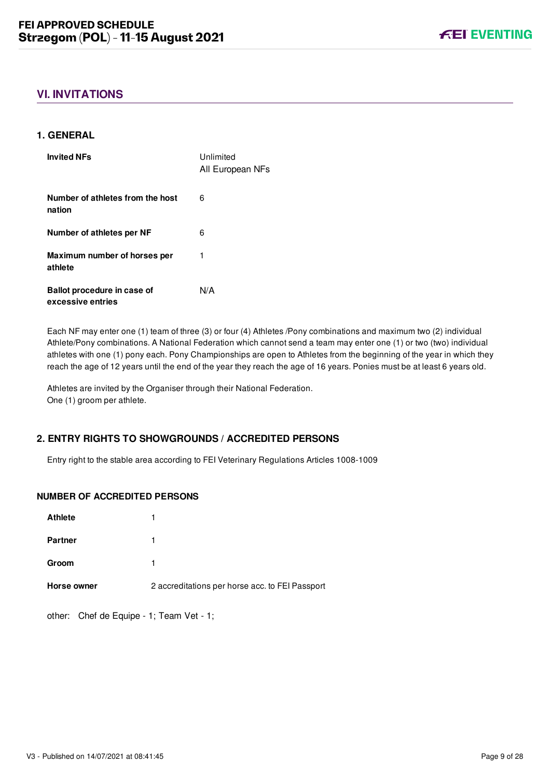## <span id="page-9-0"></span>**VI. INVITATIONS**

## <span id="page-9-1"></span>**1. GENERAL**

| <b>Invited NFs</b>                               | Unlimited<br>All European NFs |
|--------------------------------------------------|-------------------------------|
| Number of athletes from the host<br>nation       | 6                             |
| Number of athletes per NF                        | 6                             |
| Maximum number of horses per<br>athlete          | 1                             |
| Ballot procedure in case of<br>excessive entries | N/A                           |

Each NF may enter one (1) team of three (3) or four (4) Athletes /Pony combinations and maximum two (2) individual Athlete/Pony combinations. A National Federation which cannot send a team may enter one (1) or two (two) individual athletes with one (1) pony each. Pony Championships are open to Athletes from the beginning of the year in which they reach the age of 12 years until the end of the year they reach the age of 16 years. Ponies must be at least 6 years old.

Athletes are invited by the Organiser through their National Federation. One (1) groom per athlete.

## <span id="page-9-2"></span>**2. ENTRY RIGHTS TO SHOWGROUNDS / ACCREDITED PERSONS**

Entry right to the stable area according to FEI Veterinary Regulations Articles 1008-1009

## **NUMBER OF ACCREDITED PERSONS**

| 1                                               |
|-------------------------------------------------|
|                                                 |
|                                                 |
| 2 accreditations per horse acc. to FEI Passport |
|                                                 |

other: Chef de Equipe - 1; Team Vet - 1;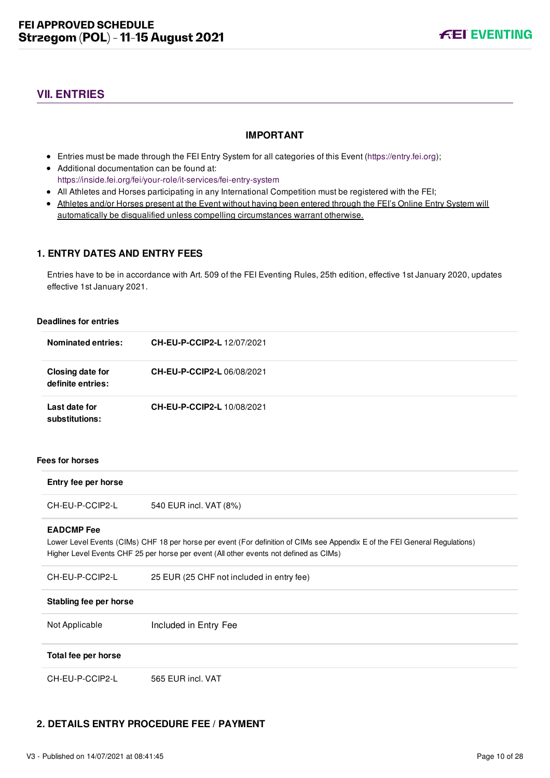## <span id="page-10-0"></span>**VII. ENTRIES**

## **IMPORTANT**

- Entries must be made through the FEI Entry System for all categories of this Event ([https://entry.fei.org\)](https://entry.fei.org);
- Additional documentation can be found at: <https://inside.fei.org/fei/your-role/it-services/fei-entry-system>
- All Athletes and Horses participating in any International Competition must be registered with the FEI;
- Athletes and/or Horses present at the Event without having been entered through the FEI's Online Entry System will automatically be disqualified unless compelling circumstances warrant otherwise.

## <span id="page-10-1"></span>**1. ENTRY DATES AND ENTRY FEES**

Entries have to be in accordance with Art. 509 of the FEI Eventing Rules, 25th edition, effective 1st January 2020, updates effective 1st January 2021.

#### **Deadlines for entries**

| <b>Nominated entries:</b>             | <b>CH-EU-P-CCIP2-L 12/07/2021</b> |
|---------------------------------------|-----------------------------------|
| Closing date for<br>definite entries: | CH-EU-P-CCIP2-L06/08/2021         |
| Last date for<br>substitutions:       | <b>CH-EU-P-CCIP2-L 10/08/2021</b> |

#### **Fees for horses**

| Entry fee per horse    |                                                                                                                                                                                                                      |
|------------------------|----------------------------------------------------------------------------------------------------------------------------------------------------------------------------------------------------------------------|
| CH-EU-P-CCIP2-L        | 540 EUR incl. VAT (8%)                                                                                                                                                                                               |
| <b>EADCMP</b> Fee      | Lower Level Events (CIMs) CHF 18 per horse per event (For definition of CIMs see Appendix E of the FEI General Regulations)<br>Higher Level Events CHF 25 per horse per event (All other events not defined as CIMs) |
| CH-EU-P-CCIP2-L        | 25 EUR (25 CHF not included in entry fee)                                                                                                                                                                            |
| Stabling fee per horse |                                                                                                                                                                                                                      |
| Not Applicable         | Included in Entry Fee                                                                                                                                                                                                |
| Total fee per horse    |                                                                                                                                                                                                                      |
| CH-EU-P-CCIP2-L        | 565 EUR incl. VAT                                                                                                                                                                                                    |

## <span id="page-10-2"></span>**2. DETAILS ENTRY PROCEDURE FEE / PAYMENT**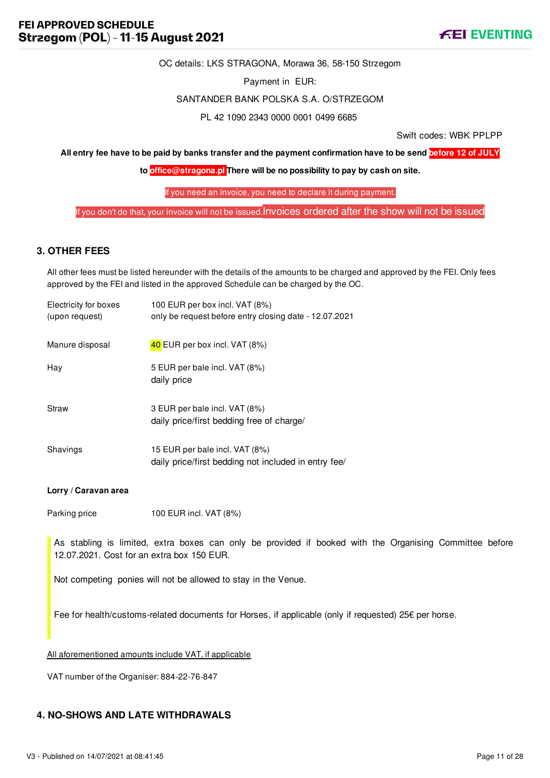

OC details: LKS STRAGONA, Morawa 36, 58-150 Strzegom

Payment in EUR:

#### SANTANDER BANK POLSKA S.A. O/STRZEGOM

PL 42 1090 2343 0000 0001 0499 6685

Swift codes: WBK PPLPP

**All entry fee have to be paid by banks transfer and the payment confirmation have to be send before 12 of JULY**

**to [office@stragona.pl](mailto:office@stragona.pl) There will be no possibility to pay by cash on site.**

If you need an invoice, you need to declare it during payment.

If you don't do that, your invoice will not be issued. Invoices ordered after the show will not be issued

## <span id="page-11-0"></span>**3. OTHER FEES**

All other fees must be listed hereunder with the details of the amounts to be charged and approved by the FEI. Only fees approved by the FEI and listed in the approved Schedule can be charged by the OC.

| Electricity for boxes<br>(upon request) | 100 EUR per box incl. VAT (8%)<br>only be request before entry closing date - 12.07.2021 |
|-----------------------------------------|------------------------------------------------------------------------------------------|
| Manure disposal                         | $40$ EUR per box incl. VAT (8%)                                                          |
| Hav                                     | 5 EUR per bale incl. VAT (8%)<br>daily price                                             |
| Straw                                   | 3 EUR per bale incl. VAT (8%)<br>daily price/first bedding free of charge/               |
| Shavings                                | 15 EUR per bale incl. VAT (8%)<br>daily price/first bedding not included in entry fee/   |

#### **Lorry / Caravan area**

Parking price 100 EUR incl. VAT (8%)

As stabling is limited, extra boxes can only be provided if booked with the Organising Committee before 12.07.2021. Cost for an extra box 150 EUR.

Not competing ponies will not be allowed to stay in the Venue.

Fee for health/customs-related documents for Horses, if applicable (only if requested) 25€ per horse.

All aforementioned amounts include VAT, if applicable

VAT number of the Organiser: 884-22-76-847

## <span id="page-11-1"></span>**4. NO-SHOWS AND LATE WITHDRAWALS**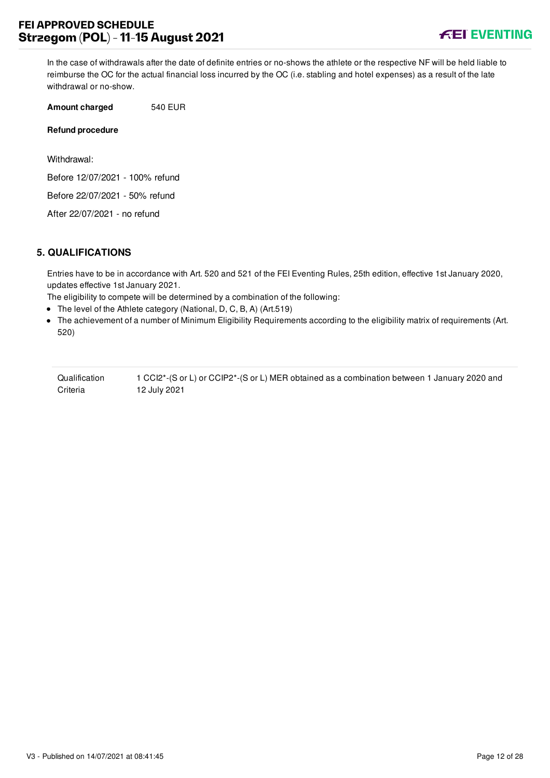In the case of withdrawals after the date of definite entries or no-shows the athlete or the respective NF will be held liable to reimburse the OC for the actual financial loss incurred by the OC (i.e. stabling and hotel expenses) as a result of the late withdrawal or no-show.

**Amount charged** 540 EUR

#### **Refund procedure**

Withdrawal:

Before 12/07/2021 - 100% refund

Before 22/07/2021 - 50% refund

After 22/07/2021 - no refund

## <span id="page-12-0"></span>**5. QUALIFICATIONS**

Entries have to be in accordance with Art. 520 and 521 of the FEI Eventing Rules, 25th edition, effective 1st January 2020, updates effective 1st January 2021.

The eligibility to compete will be determined by a combination of the following:

- The level of the Athlete category (National, D, C, B, A) (Art.519)
- The achievement of a number of Minimum Eligibility Requirements according to the eligibility matrix of requirements (Art. 520)

| Qualification | 1 CCl2 <sup>*</sup> -(S or L) or CClP2 <sup>*</sup> -(S or L) MER obtained as a combination between 1 January 2020 and |
|---------------|------------------------------------------------------------------------------------------------------------------------|
| Criteria      | 12 July 2021                                                                                                           |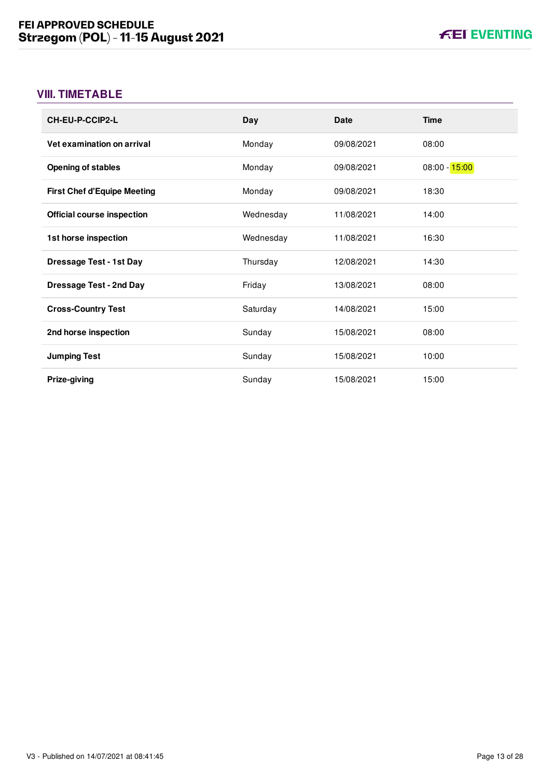## <span id="page-13-0"></span>**VIII. TIMETABLE**

| <b>CH-EU-P-CCIP2-L</b>             | Day       | <b>Date</b> | <b>Time</b>     |
|------------------------------------|-----------|-------------|-----------------|
| Vet examination on arrival         | Monday    | 09/08/2021  | 08:00           |
| <b>Opening of stables</b>          | Monday    | 09/08/2021  | $08:00 - 15:00$ |
| <b>First Chef d'Equipe Meeting</b> | Monday    | 09/08/2021  | 18:30           |
| <b>Official course inspection</b>  | Wednesday | 11/08/2021  | 14:00           |
| 1st horse inspection               | Wednesday | 11/08/2021  | 16:30           |
| <b>Dressage Test - 1st Day</b>     | Thursday  | 12/08/2021  | 14:30           |
| <b>Dressage Test - 2nd Day</b>     | Friday    | 13/08/2021  | 08:00           |
| <b>Cross-Country Test</b>          | Saturday  | 14/08/2021  | 15:00           |
| 2nd horse inspection               | Sunday    | 15/08/2021  | 08:00           |
| <b>Jumping Test</b>                | Sunday    | 15/08/2021  | 10:00           |
| Prize-giving                       | Sunday    | 15/08/2021  | 15:00           |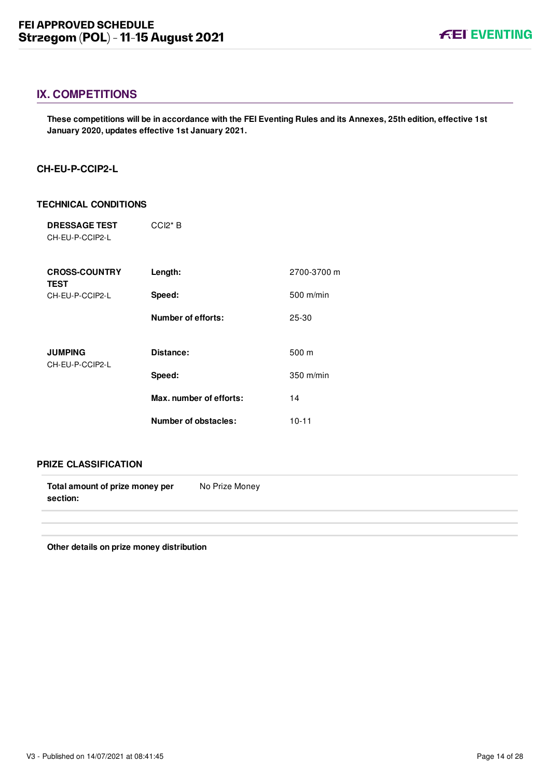## <span id="page-14-0"></span>**IX. COMPETITIONS**

**These competitions will be in accordance with the FEI Eventing Rules and its Annexes, 25th edition, effective 1st January 2020, updates effective 1st January 2021.**

## <span id="page-14-1"></span>**CH-EU-P-CCIP2-L**

## **TECHNICAL CONDITIONS**

| <b>DRESSAGE TEST</b><br>CH-EU-P-CCIP2-L | $CCl2*B$                |             |
|-----------------------------------------|-------------------------|-------------|
| <b>CROSS-COUNTRY</b><br><b>TEST</b>     | Length:                 | 2700-3700 m |
| CH-EU-P-CCIP2-L                         | Speed:                  | 500 m/min   |
|                                         | Number of efforts:      | 25-30       |
| <b>JUMPING</b><br>CH-EU-P-CCIP2-L       | Distance:               | 500 m       |
|                                         | Speed:                  | $350$ m/min |
|                                         | Max. number of efforts: | 14          |
|                                         | Number of obstacles:    | $10 - 11$   |

## **PRIZE CLASSIFICATION**

| Total amount of prize money per | No Prize Money |
|---------------------------------|----------------|
| section:                        |                |
|                                 |                |

**Other details on prize money distribution**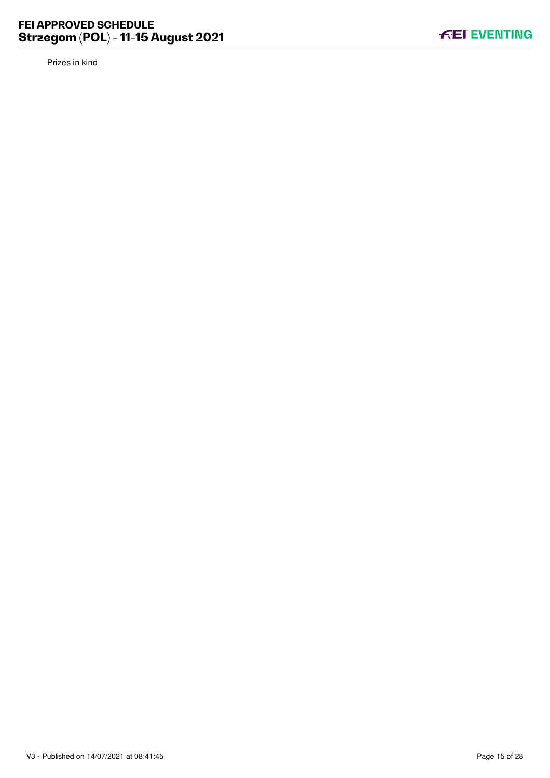Prizes in kind

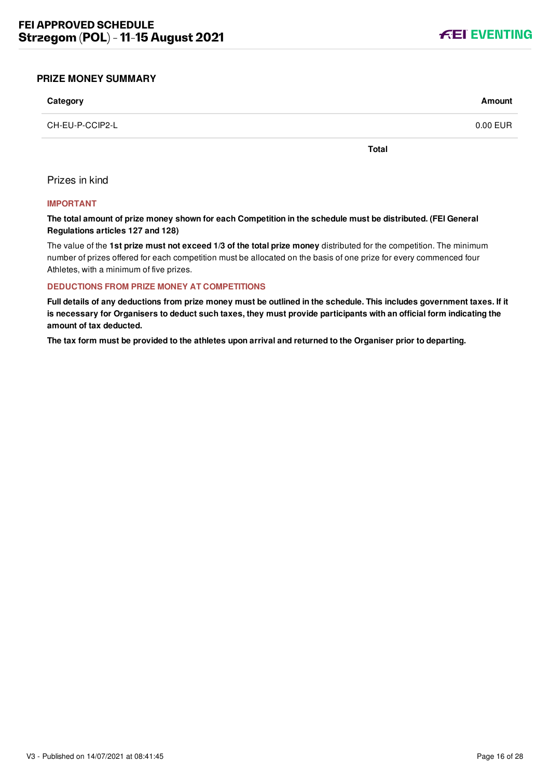

#### <span id="page-16-0"></span>**PRIZE MONEY SUMMARY**

| Category        | Amount   |
|-----------------|----------|
| CH-EU-P-CCIP2-L | 0.00 EUR |

**Total**

Prizes in kind

#### **IMPORTANT**

**The total amount of prize money shown for each Competition in the schedule must be distributed. (FEI General Regulations articles 127 and 128)**

The value of the **1st prize must not exceed 1/3 of the total prize money** distributed for the competition. The minimum number of prizes offered for each competition must be allocated on the basis of one prize for every commenced four Athletes, with a minimum of five prizes.

#### **DEDUCTIONS FROM PRIZE MONEY AT COMPETITIONS**

**Full details of any deductions from prize money must be outlined in the schedule. This includes government taxes. If it is necessary for Organisers to deduct such taxes, they must provide participants with an official form indicating the amount of tax deducted.**

**The tax form must be provided to the athletes upon arrival and returned to the Organiser prior to departing.**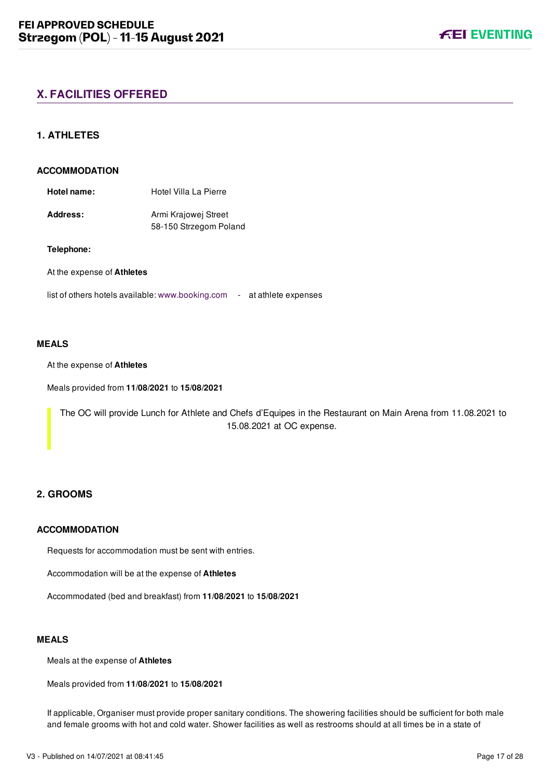## <span id="page-17-0"></span>**X. FACILITIES OFFERED**

## <span id="page-17-1"></span>**1. ATHLETES**

#### **ACCOMMODATION**

| <b>Address:</b> | Armi Krajowej Street   |
|-----------------|------------------------|
|                 | 58-150 Strzegom Poland |

#### **Telephone:**

At the expense of **Athletes**

list of others hotels available: [www.booking.com](https://schedules.fei.org/www.booking.com) - at athlete expenses

#### **MEALS**

#### At the expense of **Athletes**

Meals provided from **11/08/2021** to **15/08/2021**

The OC will provide Lunch for Athlete and Chefs d'Equipes in the Restaurant on Main Arena from 11.08.2021 to 15.08.2021 at OC expense.

## <span id="page-17-2"></span>**2. GROOMS**

#### **ACCOMMODATION**

Requests for accommodation must be sent with entries.

Accommodation will be at the expense of **Athletes**

Accommodated (bed and breakfast) from **11/08/2021** to **15/08/2021**

#### **MEALS**

Meals at the expense of **Athletes**

Meals provided from **11/08/2021** to **15/08/2021**

If applicable, Organiser must provide proper sanitary conditions. The showering facilities should be sufficient for both male and female grooms with hot and cold water. Shower facilities as well as restrooms should at all times be in a state of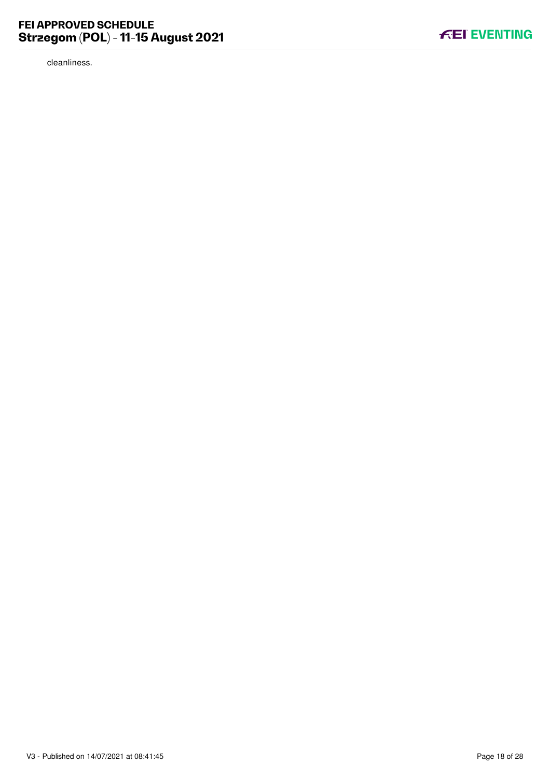cleanliness.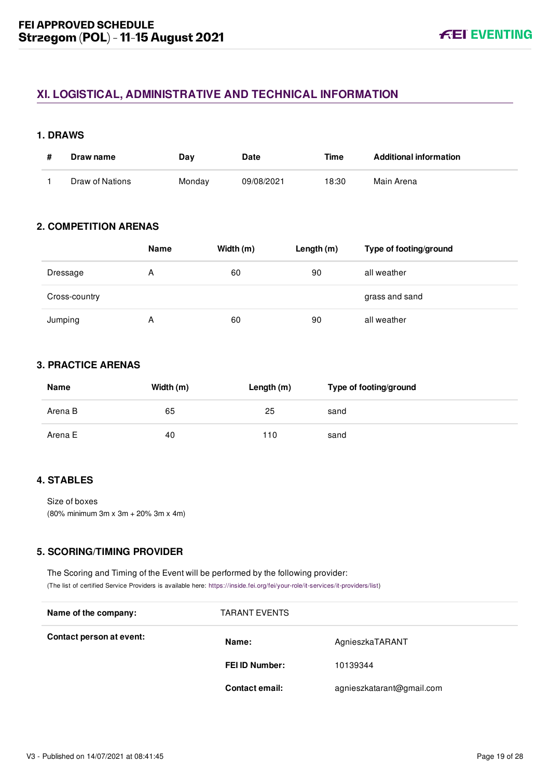## <span id="page-19-0"></span>**XI. LOGISTICAL, ADMINISTRATIVE AND TECHNICAL INFORMATION**

## <span id="page-19-1"></span>**1. DRAWS**

| Draw name       | Day    | <b>Date</b> | Time  | <b>Additional information</b> |
|-----------------|--------|-------------|-------|-------------------------------|
| Draw of Nations | Monday | 09/08/2021  | 18:30 | Main Arena                    |

## <span id="page-19-2"></span>**2. COMPETITION ARENAS**

|               | <b>Name</b> | Width (m) | Length $(m)$ | Type of footing/ground |
|---------------|-------------|-----------|--------------|------------------------|
| Dressage      | А           | 60        | 90           | all weather            |
| Cross-country |             |           |              | grass and sand         |
| Jumping       | Α           | 60        | 90           | all weather            |

## <span id="page-19-3"></span>**3. PRACTICE ARENAS**

| Name    | Width (m) | Length (m) | Type of footing/ground |
|---------|-----------|------------|------------------------|
| Arena B | 65        | 25         | sand                   |
| Arena E | 40        | 110        | sand                   |

## <span id="page-19-4"></span>**4. STABLES**

Size of boxes (80% minimum 3m x 3m + 20% 3m x 4m)

## <span id="page-19-5"></span>**5. SCORING/TIMING PROVIDER**

The Scoring and Timing of the Event will be performed by the following provider: (The list of certified Service Providers is available here: [https://inside.fei.org/fei/your-role/it-services/it-providers/list\)](https://inside.fei.org/fei/your-role/it-services/it-providers/list)

| Name of the company:     | <b>TARANT EVENTS</b>  |                           |  |
|--------------------------|-----------------------|---------------------------|--|
| Contact person at event: | Name:                 | AgnieszkaTARANT           |  |
|                          | <b>FEI ID Number:</b> | 10139344                  |  |
|                          | Contact email:        | agnieszkatarant@gmail.com |  |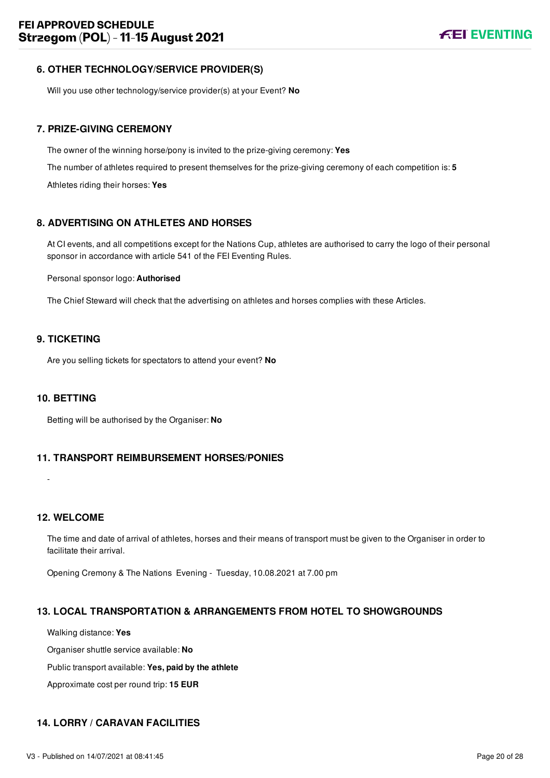## <span id="page-20-0"></span>**6. OTHER TECHNOLOGY/SERVICE PROVIDER(S)**

Will you use other technology/service provider(s) at your Event? **No**

## <span id="page-20-1"></span>**7. PRIZE-GIVING CEREMONY**

The owner of the winning horse/pony is invited to the prize-giving ceremony: **Yes** The number of athletes required to present themselves for the prize-giving ceremony of each competition is: **5** Athletes riding their horses: **Yes**

## <span id="page-20-2"></span>**8. ADVERTISING ON ATHLETES AND HORSES**

At CI events, and all competitions except for the Nations Cup, athletes are authorised to carry the logo of their personal sponsor in accordance with article 541 of the FEI Eventing Rules.

## Personal sponsor logo: **Authorised**

The Chief Steward will check that the advertising on athletes and horses complies with these Articles.

## <span id="page-20-3"></span>**9. TICKETING**

Are you selling tickets for spectators to attend your event? **No**

## <span id="page-20-4"></span>**10. BETTING**

Betting will be authorised by the Organiser: **No**

## <span id="page-20-5"></span>**11. TRANSPORT REIMBURSEMENT HORSES/PONIES**

## <span id="page-20-6"></span>**12. WELCOME**

-

The time and date of arrival of athletes, horses and their means of transport must be given to the Organiser in order to facilitate their arrival.

Opening Cremony & The Nations Evening - Tuesday, 10.08.2021 at 7.00 pm

## <span id="page-20-7"></span>**13. LOCAL TRANSPORTATION & ARRANGEMENTS FROM HOTEL TO SHOWGROUNDS**

Walking distance: **Yes**

Organiser shuttle service available: **No**

Public transport available: **Yes, paid by the athlete**

Approximate cost per round trip: **15 EUR**

## <span id="page-20-8"></span>**14. LORRY / CARAVAN FACILITIES**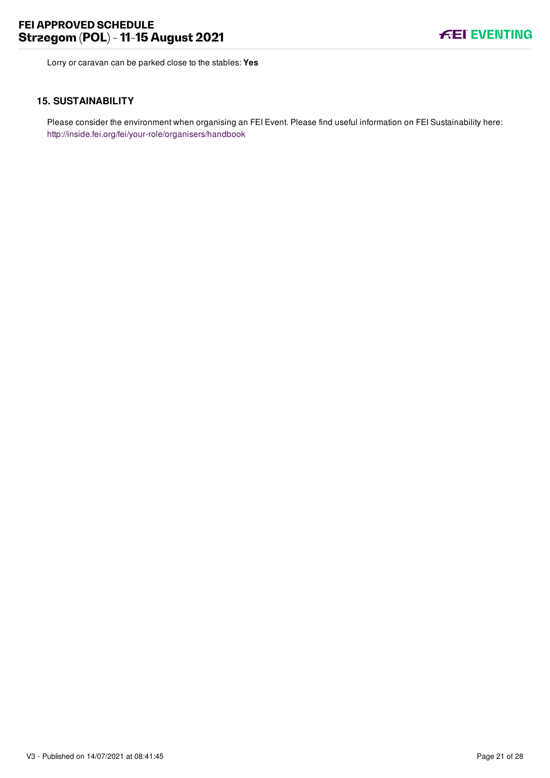

Lorry or caravan can be parked close to the stables: **Yes**

#### <span id="page-21-0"></span>**15. SUSTAINABILITY**

Please consider the environment when organising an FEI Event. Please find useful information on FEI Sustainability here: <http://inside.fei.org/fei/your-role/organisers/handbook>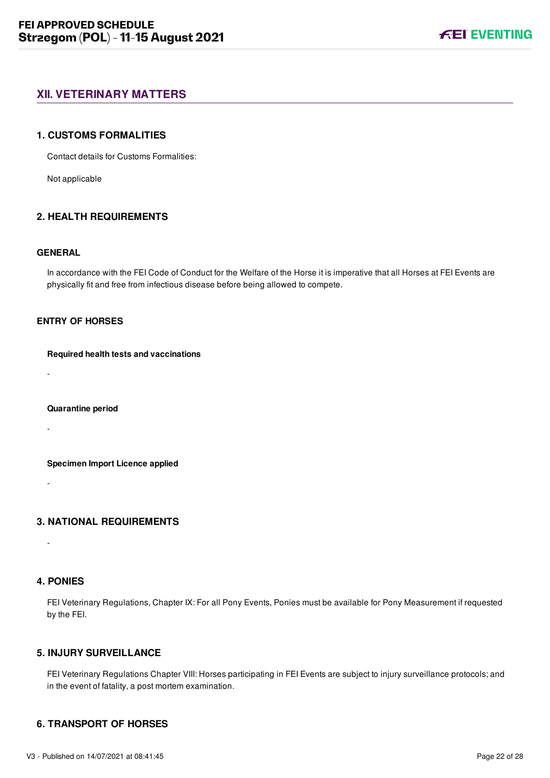## <span id="page-22-0"></span>**XII. VETERINARY MATTERS**

#### <span id="page-22-1"></span>**1. CUSTOMS FORMALITIES**

Contact details for Customs Formalities:

Not applicable

## <span id="page-22-2"></span>**2. HEALTH REQUIREMENTS**

#### **GENERAL**

In accordance with the FEI Code of Conduct for the Welfare of the Horse it is imperative that all Horses at FEI Events are physically fit and free from infectious disease before being allowed to compete.

## **ENTRY OF HORSES**

#### **Required health tests and vaccinations**

-

#### **Quarantine period**

-

#### **Specimen Import Licence applied**

-

## <span id="page-22-3"></span>**3. NATIONAL REQUIREMENTS**

## <span id="page-22-4"></span>**4. PONIES**

-

FEI Veterinary Regulations, Chapter IX: For all Pony Events, Ponies must be available for Pony Measurement if requested by the FEI.

## <span id="page-22-5"></span>**5. INJURY SURVEILLANCE**

FEI Veterinary Regulations Chapter VIII: Horses participating in FEI Events are subject to injury surveillance protocols; and in the event of fatality, a post mortem examination.

## <span id="page-22-6"></span>**6. TRANSPORT OF HORSES**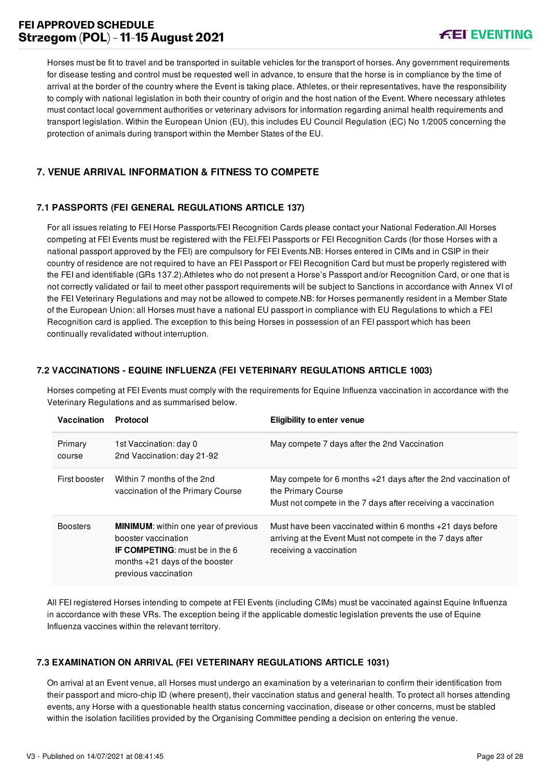## **FEI APPROVED SCHEDULE Strzegom (POL) - 11-15 August 2021**

## **FEI EVENTING**

Horses must be fit to travel and be transported in suitable vehicles for the transport of horses. Any government requirements for disease testing and control must be requested well in advance, to ensure that the horse is in compliance by the time of arrival at the border of the country where the Event is taking place. Athletes, or their representatives, have the responsibility to comply with national legislation in both their country of origin and the host nation of the Event. Where necessary athletes must contact local government authorities or veterinary advisors for information regarding animal health requirements and transport legislation. Within the European Union (EU), this includes EU Council Regulation (EC) No 1/2005 concerning the protection of animals during transport within the Member States of the EU.

## <span id="page-23-0"></span>**7. VENUE ARRIVAL INFORMATION & FITNESS TO COMPETE**

## <span id="page-23-1"></span>**7.1 PASSPORTS (FEI GENERAL REGULATIONS ARTICLE 137)**

For all issues relating to FEI Horse Passports/FEI Recognition Cards please contact your National Federation.All Horses competing at FEI Events must be registered with the FEI.FEI Passports or FEI Recognition Cards (for those Horses with a national passport approved by the FEI) are compulsory for FEI Events.NB: Horses entered in CIMs and in CSIP in their country of residence are not required to have an FEI Passport or FEI Recognition Card but must be properly registered with the FEI and identifiable (GRs 137.2).Athletes who do not present a Horse's Passport and/or Recognition Card, or one that is not correctly validated or fail to meet other passport requirements will be subject to Sanctions in accordance with Annex VI of the FEI Veterinary Regulations and may not be allowed to compete.NB: for Horses permanently resident in a Member State of the European Union: all Horses must have a national EU passport in compliance with EU Regulations to which a FEI Recognition card is applied. The exception to this being Horses in possession of an FEI passport which has been continually revalidated without interruption.

## <span id="page-23-2"></span>**7.2 VACCINATIONS - EQUINE INFLUENZA (FEI VETERINARY REGULATIONS ARTICLE 1003)**

Horses competing at FEI Events must comply with the requirements for Equine Influenza vaccination in accordance with the Veterinary Regulations and as summarised below.

| Vaccination       | <b>Protocol</b>                                                                                                                                                         | <b>Eligibility to enter venue</b>                                                                                                                      |
|-------------------|-------------------------------------------------------------------------------------------------------------------------------------------------------------------------|--------------------------------------------------------------------------------------------------------------------------------------------------------|
| Primary<br>course | 1st Vaccination: day 0<br>2nd Vaccination: day 21-92                                                                                                                    | May compete 7 days after the 2nd Vaccination                                                                                                           |
| First booster     | Within 7 months of the 2nd<br>vaccination of the Primary Course                                                                                                         | May compete for 6 months $+21$ days after the 2nd vaccination of<br>the Primary Course<br>Must not compete in the 7 days after receiving a vaccination |
| <b>Boosters</b>   | <b>MINIMUM:</b> within one year of previous<br>booster vaccination<br><b>IF COMPETING:</b> must be in the 6<br>months $+21$ days of the booster<br>previous vaccination | Must have been vaccinated within 6 months $+21$ days before<br>arriving at the Event Must not compete in the 7 days after<br>receiving a vaccination   |

All FEI registered Horses intending to compete at FEI Events (including CIMs) must be vaccinated against Equine Influenza in accordance with these VRs. The exception being if the applicable domestic legislation prevents the use of Equine Influenza vaccines within the relevant territory.

## <span id="page-23-3"></span>**7.3 EXAMINATION ON ARRIVAL (FEI VETERINARY REGULATIONS ARTICLE 1031)**

On arrival at an Event venue, all Horses must undergo an examination by a veterinarian to confirm their identification from their passport and micro-chip ID (where present), their vaccination status and general health. To protect all horses attending events, any Horse with a questionable health status concerning vaccination, disease or other concerns, must be stabled within the isolation facilities provided by the Organising Committee pending a decision on entering the venue.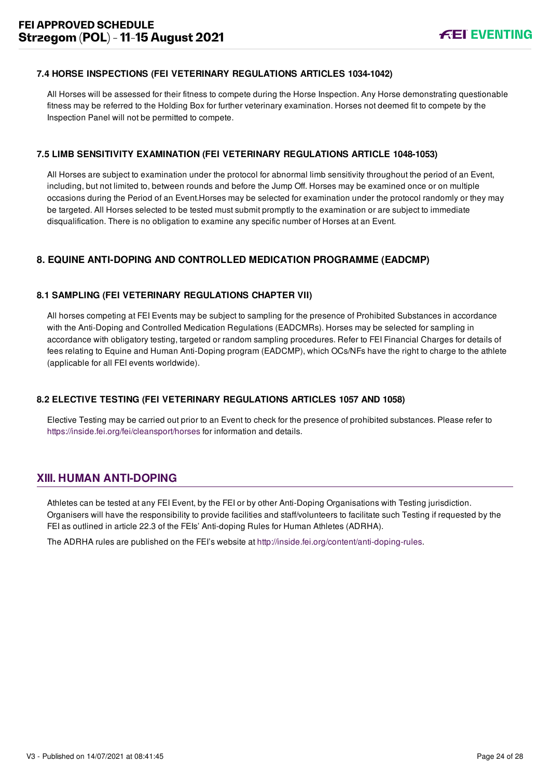## <span id="page-24-0"></span>**7.4 HORSE INSPECTIONS (FEI VETERINARY REGULATIONS ARTICLES 1034-1042)**

All Horses will be assessed for their fitness to compete during the Horse Inspection. Any Horse demonstrating questionable fitness may be referred to the Holding Box for further veterinary examination. Horses not deemed fit to compete by the Inspection Panel will not be permitted to compete.

#### <span id="page-24-1"></span>**7.5 LIMB SENSITIVITY EXAMINATION (FEI VETERINARY REGULATIONS ARTICLE 1048-1053)**

All Horses are subject to examination under the protocol for abnormal limb sensitivity throughout the period of an Event, including, but not limited to, between rounds and before the Jump Off. Horses may be examined once or on multiple occasions during the Period of an Event.Horses may be selected for examination under the protocol randomly or they may be targeted. All Horses selected to be tested must submit promptly to the examination or are subject to immediate disqualification. There is no obligation to examine any specific number of Horses at an Event.

## <span id="page-24-2"></span>**8. EQUINE ANTI-DOPING AND CONTROLLED MEDICATION PROGRAMME (EADCMP)**

## <span id="page-24-3"></span>**8.1 SAMPLING (FEI VETERINARY REGULATIONS CHAPTER VII)**

All horses competing at FEI Events may be subject to sampling for the presence of Prohibited Substances in accordance with the Anti-Doping and Controlled Medication Regulations (EADCMRs). Horses may be selected for sampling in accordance with obligatory testing, targeted or random sampling procedures. Refer to FEI Financial Charges for details of fees relating to Equine and Human Anti-Doping program (EADCMP), which OCs/NFs have the right to charge to the athlete (applicable for all FEI events worldwide).

## <span id="page-24-4"></span>**8.2 ELECTIVE TESTING (FEI VETERINARY REGULATIONS ARTICLES 1057 AND 1058)**

<span id="page-24-5"></span>Elective Testing may be carried out prior to an Event to check for the presence of prohibited substances. Please refer to <https://inside.fei.org/fei/cleansport/horses>for information and details.

## **XIII. HUMAN ANTI-DOPING**

Athletes can be tested at any FEI Event, by the FEI or by other Anti-Doping Organisations with Testing jurisdiction. Organisers will have the responsibility to provide facilities and staff/volunteers to facilitate such Testing if requested by the FEI as outlined in article 22.3 of the FEIs' Anti-doping Rules for Human Athletes (ADRHA).

The ADRHA rules are published on the FEI's website at [http://inside.fei.org/content/anti-doping-rules.](http://inside.fei.org/content/anti-doping-rules)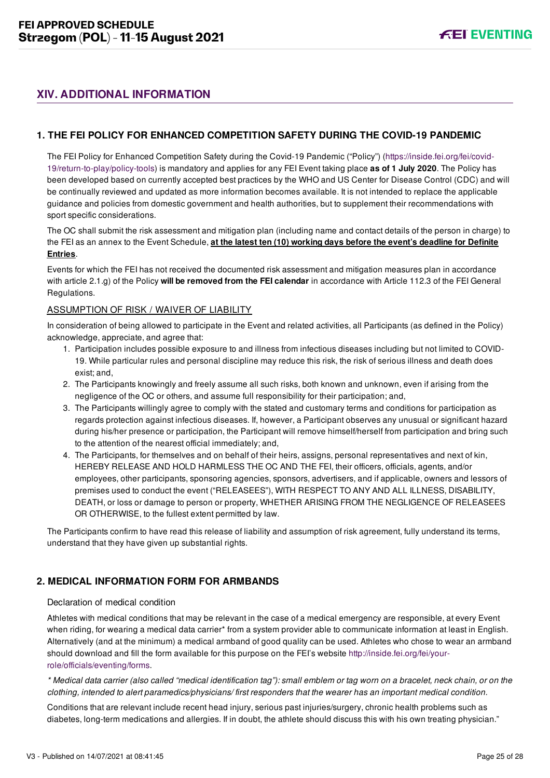## <span id="page-25-0"></span>**XIV. ADDITIONAL INFORMATION**

## <span id="page-25-1"></span>**1. THE FEI POLICY FOR ENHANCED COMPETITION SAFETY DURING THE COVID-19 PANDEMIC**

[The FEI Policy for Enhanced Competition Safety during the Covid-19 Pandemic \("Policy"\) \(https://inside.fei.org/fei/covid-](https://inside.fei.org/fei/covid-19/return-to-play/policy-tools)19/return-to-play/policy-tools) is mandatory and applies for any FEI Event taking place **as of 1 July 2020**. The Policy has been developed based on currently accepted best practices by the WHO and US Center for Disease Control (CDC) and will be continually reviewed and updated as more information becomes available. It is not intended to replace the applicable guidance and policies from domestic government and health authorities, but to supplement their recommendations with sport specific considerations.

The OC shall submit the risk assessment and mitigation plan (including name and contact details of the person in charge) to the FEI as an annex to the Event Schedule, **at the latest ten (10) working days before the event's deadline for Definite Entries**.

Events for which the FEI has not received the documented risk assessment and mitigation measures plan in accordance with article 2.1.g) of the Policy **will be removed from the FEI calendar** in accordance with Article 112.3 of the FEI General Regulations.

#### ASSUMPTION OF RISK / WAIVER OF LIABILITY

In consideration of being allowed to participate in the Event and related activities, all Participants (as defined in the Policy) acknowledge, appreciate, and agree that:

- 1. Participation includes possible exposure to and illness from infectious diseases including but not limited to COVID-19. While particular rules and personal discipline may reduce this risk, the risk of serious illness and death does exist; and,
- 2. The Participants knowingly and freely assume all such risks, both known and unknown, even if arising from the negligence of the OC or others, and assume full responsibility for their participation; and,
- 3. The Participants willingly agree to comply with the stated and customary terms and conditions for participation as regards protection against infectious diseases. If, however, a Participant observes any unusual or significant hazard during his/her presence or participation, the Participant will remove himself/herself from participation and bring such to the attention of the nearest official immediately; and,
- 4. The Participants, for themselves and on behalf of their heirs, assigns, personal representatives and next of kin, HEREBY RELEASE AND HOLD HARMLESS THE OC AND THE FEI, their officers, officials, agents, and/or employees, other participants, sponsoring agencies, sponsors, advertisers, and if applicable, owners and lessors of premises used to conduct the event ("RELEASEES"), WITH RESPECT TO ANY AND ALL ILLNESS, DISABILITY, DEATH, or loss or damage to person or property, WHETHER ARISING FROM THE NEGLIGENCE OF RELEASEES OR OTHERWISE, to the fullest extent permitted by law.

The Participants confirm to have read this release of liability and assumption of risk agreement, fully understand its terms, understand that they have given up substantial rights.

## <span id="page-25-2"></span>**2. MEDICAL INFORMATION FORM FOR ARMBANDS**

#### Declaration of medical condition

Athletes with medical conditions that may be relevant in the case of a medical emergency are responsible, at every Event when riding, for wearing a medical data carrier\* from a system provider able to communicate information at least in English. Alternatively (and at the minimum) a medical armband of good quality can be used. Athletes who chose to wear an armband [should download and fill the form available for this purpose on the FEI's website http://inside.fei.org/fei/your](http://inside.fei.org/fei/your-role/officials/eventing/forms)role/officials/eventing/forms.

*\* Medical data carrier (also called "medical identification tag"): small emblem or tag worn on a bracelet, neck chain, or on the clothing, intended to alert paramedics/physicians/ first responders that the wearer has an important medical condition.*

Conditions that are relevant include recent head injury, serious past injuries/surgery, chronic health problems such as diabetes, long-term medications and allergies. If in doubt, the athlete should discuss this with his own treating physician."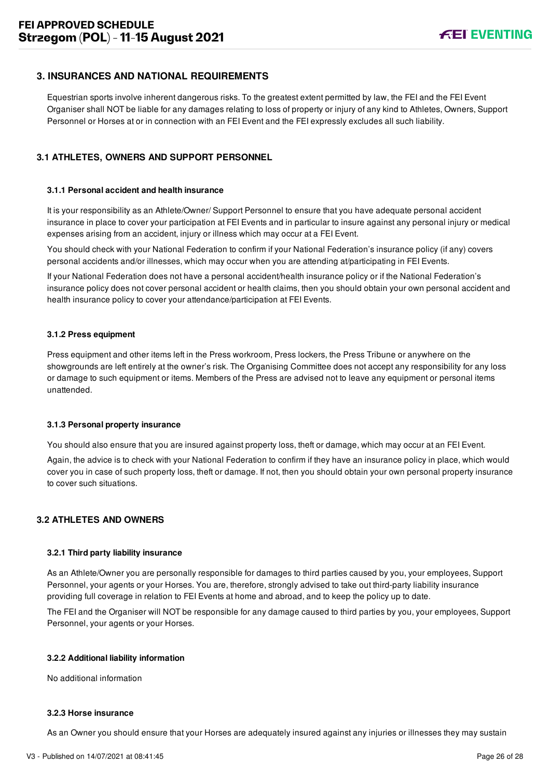## <span id="page-26-0"></span>**3. INSURANCES AND NATIONAL REQUIREMENTS**

Equestrian sports involve inherent dangerous risks. To the greatest extent permitted by law, the FEI and the FEI Event Organiser shall NOT be liable for any damages relating to loss of property or injury of any kind to Athletes, Owners, Support Personnel or Horses at or in connection with an FEI Event and the FEI expressly excludes all such liability.

## <span id="page-26-1"></span>**3.1 ATHLETES, OWNERS AND SUPPORT PERSONNEL**

## **3.1.1 Personal accident and health insurance**

It is your responsibility as an Athlete/Owner/ Support Personnel to ensure that you have adequate personal accident insurance in place to cover your participation at FEI Events and in particular to insure against any personal injury or medical expenses arising from an accident, injury or illness which may occur at a FEI Event.

You should check with your National Federation to confirm if your National Federation's insurance policy (if any) covers personal accidents and/or illnesses, which may occur when you are attending at/participating in FEI Events.

If your National Federation does not have a personal accident/health insurance policy or if the National Federation's insurance policy does not cover personal accident or health claims, then you should obtain your own personal accident and health insurance policy to cover your attendance/participation at FEI Events.

#### **3.1.2 Press equipment**

Press equipment and other items left in the Press workroom, Press lockers, the Press Tribune or anywhere on the showgrounds are left entirely at the owner's risk. The Organising Committee does not accept any responsibility for any loss or damage to such equipment or items. Members of the Press are advised not to leave any equipment or personal items unattended.

#### **3.1.3 Personal property insurance**

You should also ensure that you are insured against property loss, theft or damage, which may occur at an FEI Event.

Again, the advice is to check with your National Federation to confirm if they have an insurance policy in place, which would cover you in case of such property loss, theft or damage. If not, then you should obtain your own personal property insurance to cover such situations.

## <span id="page-26-2"></span>**3.2 ATHLETES AND OWNERS**

#### **3.2.1 Third party liability insurance**

As an Athlete/Owner you are personally responsible for damages to third parties caused by you, your employees, Support Personnel, your agents or your Horses. You are, therefore, strongly advised to take out third-party liability insurance providing full coverage in relation to FEI Events at home and abroad, and to keep the policy up to date.

The FEI and the Organiser will NOT be responsible for any damage caused to third parties by you, your employees, Support Personnel, your agents or your Horses.

#### **3.2.2 Additional liability information**

No additional information

#### **3.2.3 Horse insurance**

As an Owner you should ensure that your Horses are adequately insured against any injuries or illnesses they may sustain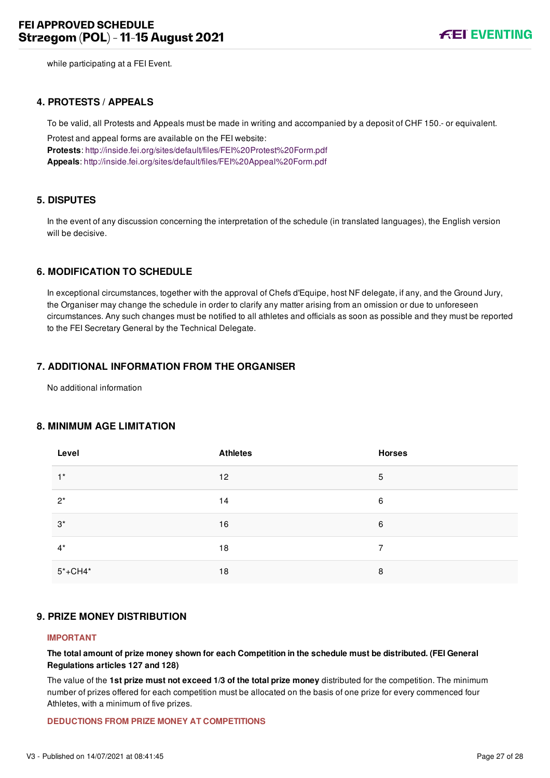while participating at a FEI Event.

#### <span id="page-27-0"></span>**4. PROTESTS / APPEALS**

To be valid, all Protests and Appeals must be made in writing and accompanied by a deposit of CHF 150.- or equivalent.

Protest and appeal forms are available on the FEI website: **Protests**:<http://inside.fei.org/sites/default/files/FEI%20Protest%20Form.pdf> **Appeals**:<http://inside.fei.org/sites/default/files/FEI%20Appeal%20Form.pdf>

## <span id="page-27-1"></span>**5. DISPUTES**

In the event of any discussion concerning the interpretation of the schedule (in translated languages), the English version will be decisive.

## <span id="page-27-2"></span>**6. MODIFICATION TO SCHEDULE**

In exceptional circumstances, together with the approval of Chefs d'Equipe, host NF delegate, if any, and the Ground Jury, the Organiser may change the schedule in order to clarify any matter arising from an omission or due to unforeseen circumstances. Any such changes must be notified to all athletes and officials as soon as possible and they must be reported to the FEI Secretary General by the Technical Delegate.

#### <span id="page-27-3"></span>**7. ADDITIONAL INFORMATION FROM THE ORGANISER**

No additional information

## <span id="page-27-4"></span>**8. MINIMUM AGE LIMITATION**

| Level       | <b>Athletes</b> | <b>Horses</b> |
|-------------|-----------------|---------------|
| $1^*$       | 12              | 5             |
| $2^*$       | 14              | 6             |
| $3^*$       | 16              | 6             |
| $4^*$       | 18              | 7             |
| $5* + CH4*$ | 18              | 8             |

#### <span id="page-27-5"></span>**9. PRIZE MONEY DISTRIBUTION**

#### **IMPORTANT**

**The total amount of prize money shown for each Competition in the schedule must be distributed. (FEI General Regulations articles 127 and 128)**

The value of the **1st prize must not exceed 1/3 of the total prize money** distributed for the competition. The minimum number of prizes offered for each competition must be allocated on the basis of one prize for every commenced four Athletes, with a minimum of five prizes.

#### **DEDUCTIONS FROM PRIZE MONEY AT COMPETITIONS**